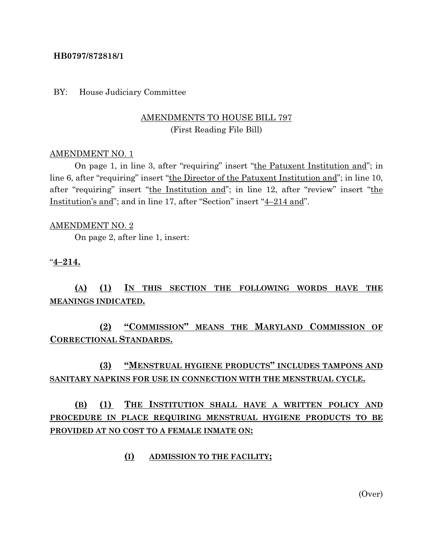#### **HB0797/872818/1**

#### BY: House Judiciary Committee

### AMENDMENTS TO HOUSE BILL 797 (First Reading File Bill)

#### AMENDMENT NO. 1

On page 1, in line 3, after "requiring" insert "the Patuxent Institution and"; in line 6, after "requiring" insert "the Director of the Patuxent Institution and"; in line 10, after "requiring" insert "the Institution and"; in line 12, after "review" insert "the Institution's and"; and in line 17, after "Section" insert "4–214 and".

#### AMENDMENT NO. 2

On page 2, after line 1, insert:

#### "**4–214.**

## **(A) (1) IN THIS SECTION THE FOLLOWING WORDS HAVE THE MEANINGS INDICATED.**

**(2) "COMMISSION" MEANS THE MARYLAND COMMISSION OF CORRECTIONAL STANDARDS.**

## **(3) "MENSTRUAL HYGIENE PRODUCTS" INCLUDES TAMPONS AND SANITARY NAPKINS FOR USE IN CONNECTION WITH THE MENSTRUAL CYCLE.**

# **(B) (1) THE INSTITUTION SHALL HAVE A WRITTEN POLICY AND PROCEDURE IN PLACE REQUIRING MENSTRUAL HYGIENE PRODUCTS TO BE PROVIDED AT NO COST TO A FEMALE INMATE ON:**

#### **(I) ADMISSION TO THE FACILITY;**